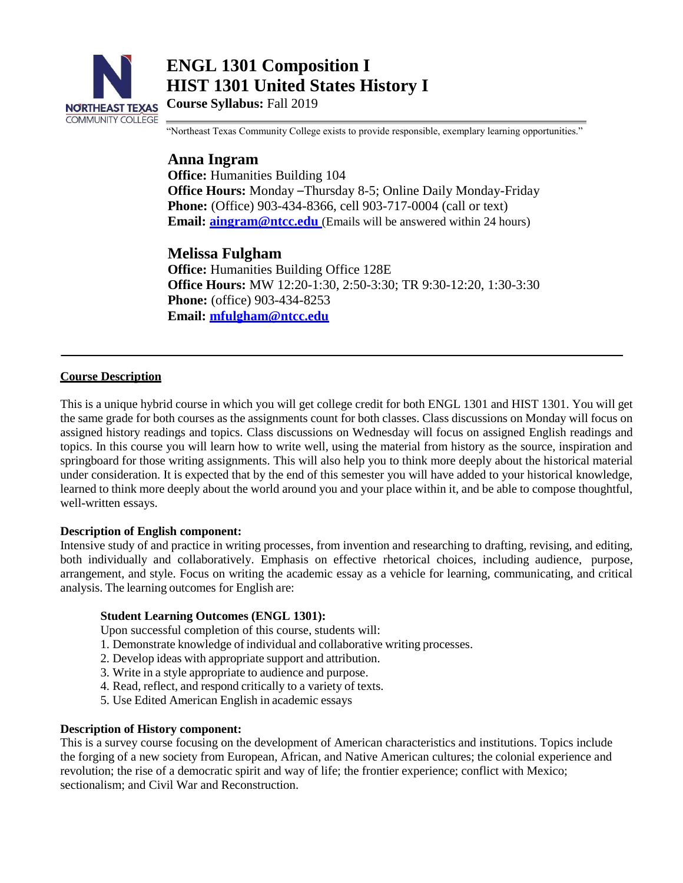

**ENGL 1301 Composition I HIST 1301 United States History I**

**Course Syllabus:** Fall 2019

"Northeast Texas Community College exists to provide responsible, exemplary learning opportunities."

# **Anna Ingram**

**Office:** Humanities Building 104 **Office Hours:** Monday –Thursday 8-5; Online Daily Monday-Friday **Phone:** (Office) 903-434-8366, cell 903-717-0004 (call or text) **Email: aingram@ntcc.edu** (Emails will be answered within 24 hours)

## **Melissa Fulgham**

**Office:** Humanities Building Office 128E **Office Hours:** MW 12:20-1:30, 2:50-3:30; TR 9:30-12:20, 1:30-3:30 **Phone:** (office) 903-434-8253 **Email: [mfulgham@ntcc.edu](mailto:mfulgham@ntcc.edu)**

## **Course Description**

This is a unique hybrid course in which you will get college credit for both ENGL 1301 and HIST 1301. You will get the same grade for both courses as the assignments count for both classes. Class discussions on Monday will focus on assigned history readings and topics. Class discussions on Wednesday will focus on assigned English readings and topics. In this course you will learn how to write well, using the material from history as the source, inspiration and springboard for those writing assignments. This will also help you to think more deeply about the historical material under consideration. It is expected that by the end of this semester you will have added to your historical knowledge, learned to think more deeply about the world around you and your place within it, and be able to compose thoughtful, well-written essays.

#### **Description of English component:**

Intensive study of and practice in writing processes, from invention and researching to drafting, revising, and editing, both individually and collaboratively. Emphasis on effective rhetorical choices, including audience, purpose, arrangement, and style. Focus on writing the academic essay as a vehicle for learning, communicating, and critical analysis. The learning outcomes for English are:

#### **Student Learning Outcomes (ENGL 1301):**

Upon successful completion of this course, students will:

- 1. Demonstrate knowledge of individual and collaborative writing processes.
- 2. Develop ideas with appropriate support and attribution.
- 3. Write in a style appropriate to audience and purpose.
- 4. Read, reflect, and respond critically to a variety of texts.
- 5. Use Edited American English in academic essays

#### **Description of History component:**

This is a survey course focusing on the development of American characteristics and institutions. Topics include the forging of a new society from European, African, and Native American cultures; the colonial experience and revolution; the rise of a democratic spirit and way of life; the frontier experience; conflict with Mexico; sectionalism; and Civil War and Reconstruction.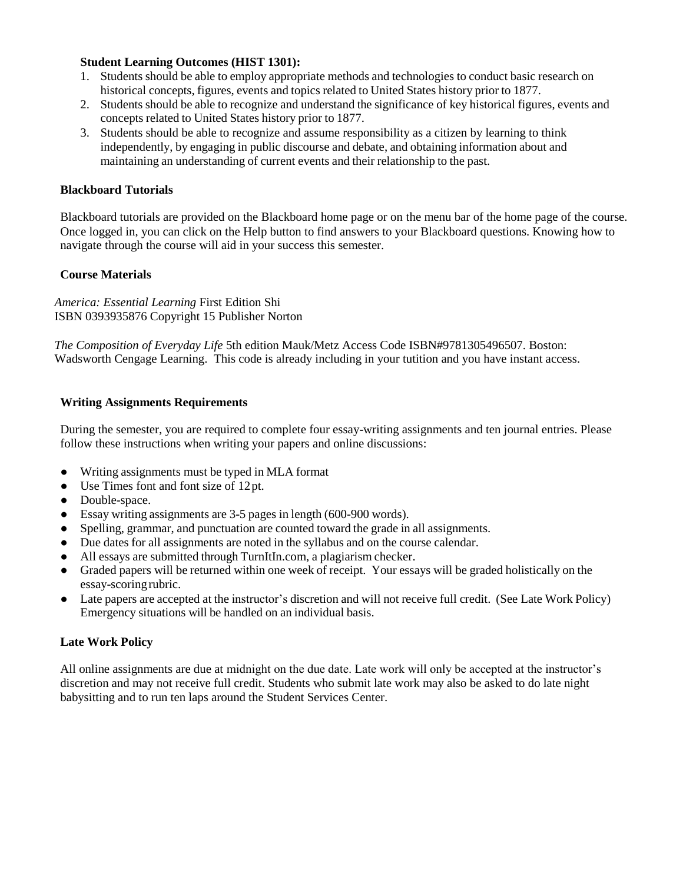## **Student Learning Outcomes (HIST 1301):**

- 1. Students should be able to employ appropriate methods and technologies to conduct basic research on historical concepts, figures, events and topics related to United States history prior to 1877.
- 2. Students should be able to recognize and understand the significance of key historical figures, events and concepts related to United States history prior to 1877.
- 3. Students should be able to recognize and assume responsibility as a citizen by learning to think independently, by engaging in public discourse and debate, and obtaining information about and maintaining an understanding of current events and their relationship to the past.

#### **Blackboard Tutorials**

Blackboard tutorials are provided on the Blackboard home page or on the menu bar of the home page of the course. Once logged in, you can click on the Help button to find answers to your Blackboard questions. Knowing how to navigate through the course will aid in your success this semester.

#### **Course Materials**

*America: Essential Learning* First Edition Shi ISBN 0393935876 Copyright 15 Publisher Norton

*The Composition of Everyday Life* 5th edition Mauk/Metz Access Code ISBN#9781305496507. Boston: Wadsworth Cengage Learning. This code is already including in your tutition and you have instant access.

#### **Writing Assignments Requirements**

During the semester, you are required to complete four essay-writing assignments and ten journal entries. Please follow these instructions when writing your papers and online discussions:

- Writing assignments must be typed in MLA format
- Use Times font and font size of 12pt.
- Double-space.
- Essay writing assignments are 3-5 pages in length (600-900 words).
- Spelling, grammar, and punctuation are counted toward the grade in all assignments.
- Due dates for all assignments are noted in the syllabus and on the course calendar.
- All essays are submitted through TurnItIn.com, a plagiarism checker.
- Graded papers will be returned within one week of receipt. Your essays will be graded holistically on the essay-scoringrubric.
- Late papers are accepted at the instructor's discretion and will not receive full credit. (See Late Work Policy) Emergency situations will be handled on an individual basis.

#### **Late Work Policy**

All online assignments are due at midnight on the due date. Late work will only be accepted at the instructor's discretion and may not receive full credit. Students who submit late work may also be asked to do late night babysitting and to run ten laps around the Student Services Center.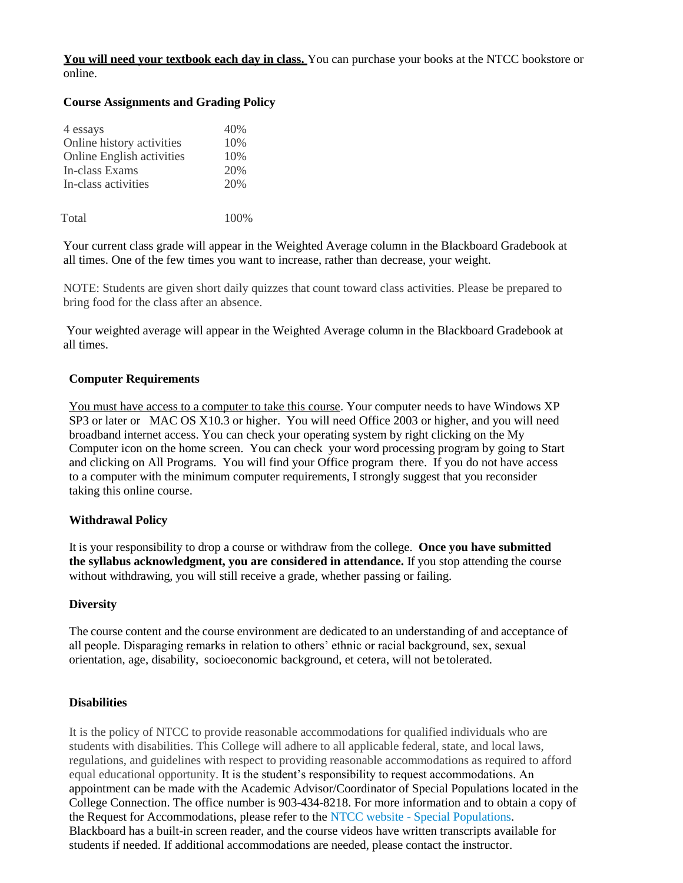#### **You will need your textbook each day in class.** You can purchase your books at the NTCC bookstore or online.

### **Course Assignments and Grading Policy**

| 4 essays                         | 40\% |
|----------------------------------|------|
| Online history activities        | 10%  |
| <b>Online English activities</b> | 10%  |
| In-class Exams                   | 20%  |
| In-class activities              | 20%  |
|                                  |      |

Total 100%

Your current class grade will appear in the Weighted Average column in the Blackboard Gradebook at all times. One of the few times you want to increase, rather than decrease, your weight.

NOTE: Students are given short daily quizzes that count toward class activities. Please be prepared to bring food for the class after an absence.

Your weighted average will appear in the Weighted Average column in the Blackboard Gradebook at all times.

#### **Computer Requirements**

You must have access to a computer to take this course. Your computer needs to have Windows XP SP3 or later or MAC OS X10.3 or higher. You will need Office 2003 or higher, and you will need broadband internet access. You can check your operating system by right clicking on the My Computer icon on the home screen. You can check your word processing program by going to Start and clicking on All Programs. You will find your Office program there. If you do not have access to a computer with the minimum computer requirements, I strongly suggest that you reconsider taking this online course.

#### **Withdrawal Policy**

It is your responsibility to drop a course or withdraw from the college. **Once you have submitted the syllabus acknowledgment, you are considered in attendance.** If you stop attending the course without withdrawing, you will still receive a grade, whether passing or failing.

#### **Diversity**

The course content and the course environment are dedicated to an understanding of and acceptance of all people. Disparaging remarks in relation to others' ethnic or racial background, sex, sexual orientation, age, disability, socioeconomic background, et cetera, will not be tolerated.

#### **Disabilities**

It is the policy of NTCC to provide reasonable accommodations for qualified individuals who are students with disabilities. This College will adhere to all applicable federal, state, and local laws, regulations, and guidelines with respect to providing reasonable accommodations as required to afford equal educational opportunity. It is the student's responsibility to request accommodations. An appointment can be made with the Academic Advisor/Coordinator of Special Populations located in the College Connection. The office number is 903-434-8218. For more information and to obtain a copy of the Request for Accommodations, please refer to the NTCC website - Special Populations. Blackboard has a built-in screen reader, and the course videos have written transcripts available for students if needed. If additional accommodations are needed, please contact the instructor.